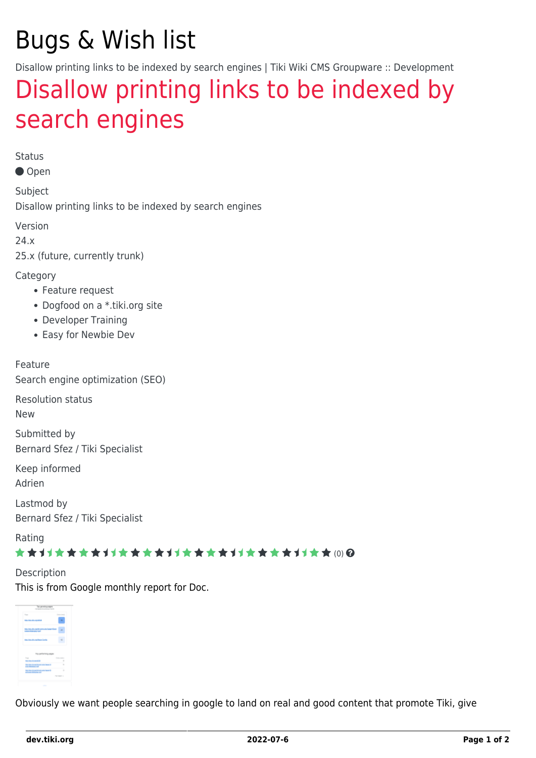# Bugs & Wish list

Disallow printing links to be indexed by search engines | Tiki Wiki CMS Groupware :: Development

## [Disallow printing links to be indexed by](https://dev.tiki.org/item7920-Disallow-printing-links-to-be-indexed-by-search-engines) [search engines](https://dev.tiki.org/item7920-Disallow-printing-links-to-be-indexed-by-search-engines)

Status

● Open

Subject Disallow printing links to be indexed by search engines

Version

24.x

25.x (future, currently trunk)

**Category** 

- Feature request
- Dogfood on a \*.tiki.org site
- Developer Training
- Easy for Newbie Dev

Feature Search engine optimization (SEO)

Resolution status

New

Submitted by Bernard Sfez / Tiki Specialist

Keep informed Adrien

Lastmod by Bernard Sfez / Tiki Specialist

Rating

#### ★★オオ★★★★オオ★★★★オオ★★★★オオ★★★★オオ★★ (0) @

Description This is from Google monthly report for Doc.



Obviously we want people searching in google to land on real and good content that promote Tiki, give